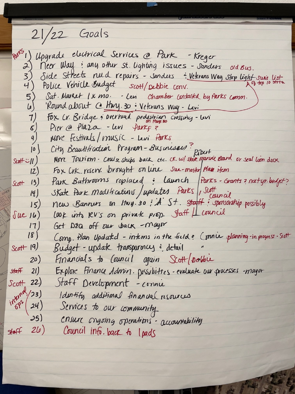$21/22$  Goals

port) Upgrade electrical Services @ Park - Kreger 2) Meer Way: any other st. lighting issues - Sanders old Bus.<br>3) Side Streets nuld repairs - Sanders : Veterans Way Stop light suis list. 4) Police Vehicle Budget scott/pebbie conv. Sat. Market 1 x mo. - Levi Chamber contacted by Parks comm.  $\begin{pmatrix} 5 \\ 4 \end{pmatrix}$ Roundabout Ce Huy. 30 : Veterans Way - Levi Fox Cv. Bridge: overhund pedestrian crossing-levi  $7)$ Pier @ Plaza - Levi Parkq?  $\mathcal{S}$ Move Festivals/music - Levi Parks  $\frac{q}{2}$ City Brawtitication Program-Businesses? Ribert<br>More Touriem. Cruise ships back etc. CK. w/ state marine Brand or seal lion dock  $|0|$  $S$ coff  $\ddot{\sim}$  // ) Fox Lrk. reserv. brought on line Sue-master plan item  $12$ 

Park Bathrooms replaced: Launch Parks-Grants? next yr. budget?  $Sott$   $13)$ Skate Park Modifications / updates Parks , Stoff<br>new Banners on Huy. 30 ; A St. Staff: sponsorship possibly  $(4)$  $15)$ LOOK into RV's on private prop. Staff | Lcouncil  $\int$ ue 16) Get DEQ off our back - mayor  $17)$  $18)$ Comp. Plan Updatd - interns in the field: Connie planning-in progress. Sept  $Sctt$  19) Budget-update transparincy: detail Financials to Council again Scott/poble  $(20)$ Explore Finance Admin. Dossibities-evaluate our processes mayor  $Staff$  21)  $S<sub>co</sub>tt$  22) Staff Development - connu  $11^{10^{10^{10^{12}}/23}}$ Identify additional financial resources Services to our community  $35)$ ensure ongoing operations - accountability  $\sqrt{4aff}$  26) Council info. back to I pads

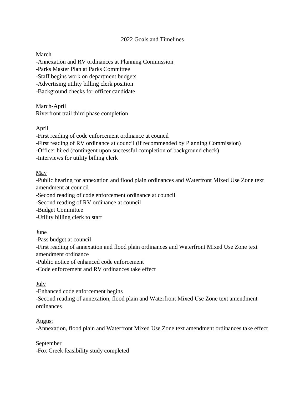### 2022 Goals and Timelines

## March

-Annexation and RV ordinances at Planning Commission -Parks Master Plan at Parks Committee -Staff begins work on department budgets -Advertising utility billing clerk position -Background checks for officer candidate

March-April Riverfront trail third phase completion

# April

-First reading of code enforcement ordinance at council

-First reading of RV ordinance at council (if recommended by Planning Commission)

-Officer hired (contingent upon successful completion of background check)

-Interviews for utility billing clerk

### May

-Public hearing for annexation and flood plain ordinances and Waterfront Mixed Use Zone text amendment at council

-Second reading of code enforcement ordinance at council

-Second reading of RV ordinance at council

-Budget Committee

-Utility billing clerk to start

### June

-Pass budget at council

-First reading of annexation and flood plain ordinances and Waterfront Mixed Use Zone text amendment ordinance

-Public notice of enhanced code enforcement

-Code enforcement and RV ordinances take effect

### July

-Enhanced code enforcement begins -Second reading of annexation, flood plain and Waterfront Mixed Use Zone text amendment ordinances

### August

-Annexation, flood plain and Waterfront Mixed Use Zone text amendment ordinances take effect

### September

-Fox Creek feasibility study completed